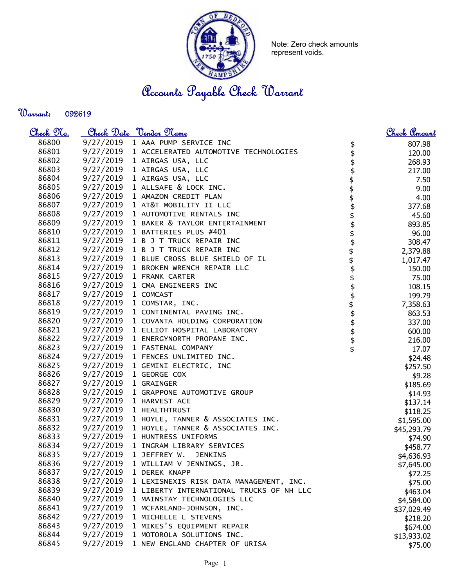

Note: Zero check amounts represent voids.

Accounts Payable Check Warrant

Warrant: 

| <u>Check 97a.</u> |           | Check Date "Vendor Name"                                                     | <u>Check Amount</u> |
|-------------------|-----------|------------------------------------------------------------------------------|---------------------|
| 86800             | 9/27/2019 | 1 AAA PUMP SERVICE INC                                                       | 807.98              |
| 86801             |           | 9/27/2019 1 ACCELERATED AUTOMOTIVE TECHNOLOGIES                              | 120.00              |
| 86802             |           | 9/27/2019 1 AIRGAS USA, LLC                                                  | 268.93              |
| 86803             |           | 9/27/2019 1 AIRGAS USA, LLC                                                  | 217.00              |
| 86804             |           | 9/27/2019 1 AIRGAS USA, LLC                                                  | 7.50                |
| 86805             |           | 9/27/2019 1 ALLSAFE & LOCK INC.                                              | 9.00                |
| 86806             |           | 9/27/2019 1 AMAZON CREDIT PLAN                                               | 4.00                |
| 86807             |           | 9/27/2019 1 AT&T MOBILITY II LLC                                             | 377.68              |
| 86808             |           | 9/27/2019 1 AUTOMOTIVE RENTALS INC                                           | 45.60               |
| 86809             |           | 9/27/2019 1 BAKER & TAYLOR ENTERTAINMENT                                     | 893.85              |
| 86810             |           | 9/27/2019 1 BATTERIES PLUS #401                                              | 96.00               |
| 86811             |           | 9/27/2019 1 B J T TRUCK REPAIR INC                                           | 308.47              |
| 86812             |           | 9/27/2019 1 B J T TRUCK REPAIR INC                                           | 2,379.88            |
| 86813             |           | 9/27/2019 1 BLUE CROSS BLUE SHIELD OF IL                                     | 1,017.47            |
| 86814             |           | 9/27/2019 1 BROKEN WRENCH REPAIR LLC                                         | 150.00              |
| 86815             |           | \$\$\$\$\$\$\$\$\$\$\$\$\$\$\$\$\$\$\$\$\$\$\$\$<br>9/27/2019 1 FRANK CARTER | 75.00               |
| 86816             |           | 9/27/2019 1 CMA ENGINEERS INC                                                | 108.15              |
| 86817             |           | 9/27/2019 1 COMCAST                                                          | 199.79              |
| 86818             |           | 9/27/2019 1 COMSTAR, INC.                                                    | 7,358.63            |
| 86819             |           | 9/27/2019 1 CONTINENTAL PAVING INC.                                          | 863.53              |
| 86820             |           | 9/27/2019 1 COVANTA HOLDING CORPORATION                                      | 337.00              |
| 86821             |           | 9/27/2019 1 ELLIOT HOSPITAL LABORATORY                                       | 600.00              |
| 86822             |           | 9/27/2019 1 ENERGYNORTH PROPANE INC.                                         | 216.00              |
| 86823             |           | 9/27/2019 1 FASTENAL COMPANY                                                 | 17.07               |
| 86824             |           | 9/27/2019 1 FENCES UNLIMITED INC.                                            | \$24.48             |
| 86825             |           | 9/27/2019 1 GEMINI ELECTRIC, INC                                             | \$257.50            |
| 86826             |           | 9/27/2019 1 GEORGE COX                                                       | \$9.28              |
| 86827             |           | 9/27/2019 1 GRAINGER                                                         | \$185.69            |
| 86828             |           | 9/27/2019 1 GRAPPONE AUTOMOTIVE GROUP                                        | \$14.93             |
| 86829             |           | 9/27/2019 1 HARVEST ACE                                                      | \$137.14            |
| 86830             |           | 9/27/2019 1 HEALTHTRUST                                                      | \$118.25            |
| 86831             |           | 9/27/2019 1 HOYLE, TANNER & ASSOCIATES INC.                                  | \$1,595.00          |
| 86832             |           | 9/27/2019 1 HOYLE, TANNER & ASSOCIATES INC.                                  | \$45,293.79         |
| 86833             |           | 9/27/2019 1 HUNTRESS UNIFORMS                                                | \$74.90             |
| 86834             |           | 9/27/2019 1 INGRAM LIBRARY SERVICES                                          | \$458.77            |
| 86835             | 9/27/2019 | 1 JEFFREY W.<br><b>JENKINS</b>                                               | \$4,636.93          |
| 86836             | 9/27/2019 | 1 WILLIAM V JENNINGS, JR.                                                    | \$7,645.00          |
| 86837             | 9/27/2019 | 1 DEREK KNAPP                                                                | \$72.25             |
| 86838             | 9/27/2019 | 1 LEXISNEXIS RISK DATA MANAGEMENT, INC.                                      | \$75.00             |
| 86839             | 9/27/2019 | 1 LIBERTY INTERNATIONAL TRUCKS OF NH LLC                                     | \$463.04            |
| 86840             | 9/27/2019 | 1 MAINSTAY TECHNOLOGIES LLC                                                  | \$4,584.00          |
| 86841             | 9/27/2019 | 1 MCFARLAND-JOHNSON, INC.                                                    | \$37,029.49         |
| 86842             | 9/27/2019 | 1 MICHELLE L STEVENS                                                         | \$218.20            |
| 86843             | 9/27/2019 | 1 MIKES'S EQUIPMENT REPAIR                                                   | \$674.00            |
| 86844             | 9/27/2019 | 1 MOTOROLA SOLUTIONS INC.                                                    | \$13,933.02         |
| 86845             | 9/27/2019 | 1 NEW ENGLAND CHAPTER OF URISA                                               | \$75.00             |